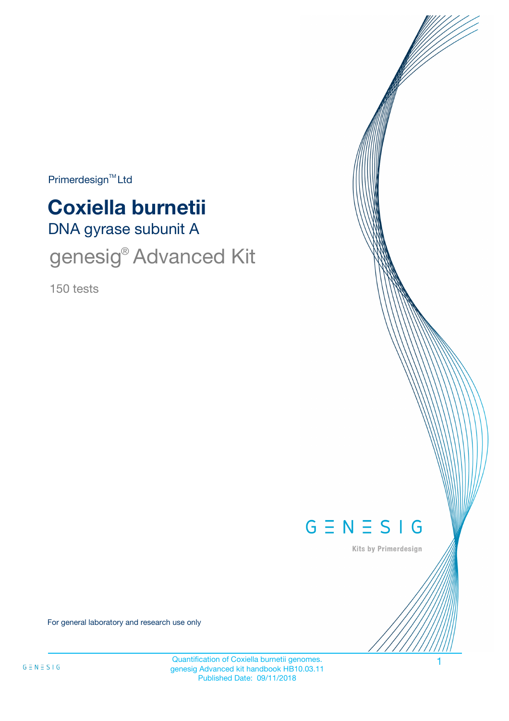$Primerdesign<sup>™</sup>Ltd$ 

# **Coxiella burnetii**

DNA gyrase subunit A

genesig® Advanced Kit

150 tests



Kits by Primerdesign

For general laboratory and research use only

Quantification of Coxiella burnetii genomes. genesig Advanced kit handbook HB10.03.11 Published Date: 09/11/2018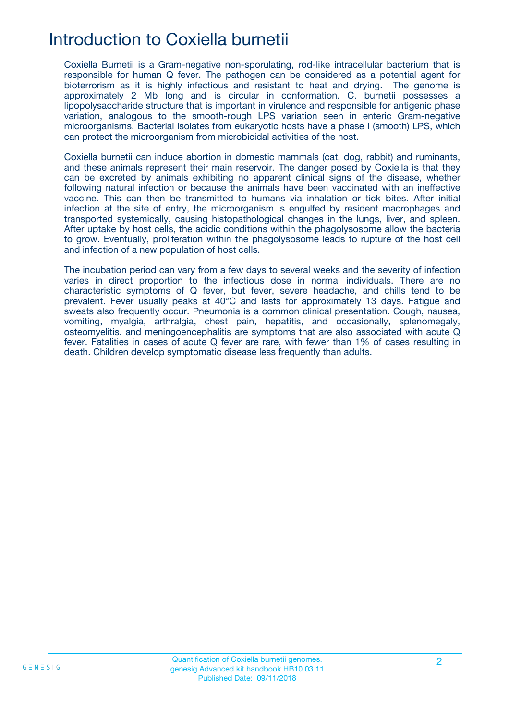# Introduction to Coxiella burnetii

Coxiella Burnetii is a Gram-negative non-sporulating, rod-like intracellular bacterium that is responsible for human Q fever. The pathogen can be considered as a potential agent for bioterrorism as it is highly infectious and resistant to heat and drying. The genome is approximately 2 Mb long and is circular in conformation. C. burnetii possesses a lipopolysaccharide structure that is important in virulence and responsible for antigenic phase variation, analogous to the smooth-rough LPS variation seen in enteric Gram-negative microorganisms. Bacterial isolates from eukaryotic hosts have a phase I (smooth) LPS, which can protect the microorganism from microbicidal activities of the host.

Coxiella burnetii can induce abortion in domestic mammals (cat, dog, rabbit) and ruminants, and these animals represent their main reservoir. The danger posed by Coxiella is that they can be excreted by animals exhibiting no apparent clinical signs of the disease, whether following natural infection or because the animals have been vaccinated with an ineffective vaccine. This can then be transmitted to humans via inhalation or tick bites. After initial infection at the site of entry, the microorganism is engulfed by resident macrophages and transported systemically, causing histopathological changes in the lungs, liver, and spleen. After uptake by host cells, the acidic conditions within the phagolysosome allow the bacteria to grow. Eventually, proliferation within the phagolysosome leads to rupture of the host cell and infection of a new population of host cells.

The incubation period can vary from a few days to several weeks and the severity of infection varies in direct proportion to the infectious dose in normal individuals. There are no characteristic symptoms of Q fever, but fever, severe headache, and chills tend to be prevalent. Fever usually peaks at 40°C and lasts for approximately 13 days. Fatigue and sweats also frequently occur. Pneumonia is a common clinical presentation. Cough, nausea, vomiting, myalgia, arthralgia, chest pain, hepatitis, and occasionally, splenomegaly, osteomyelitis, and meningoencephalitis are symptoms that are also associated with acute Q fever. Fatalities in cases of acute Q fever are rare, with fewer than 1% of cases resulting in death. Children develop symptomatic disease less frequently than adults.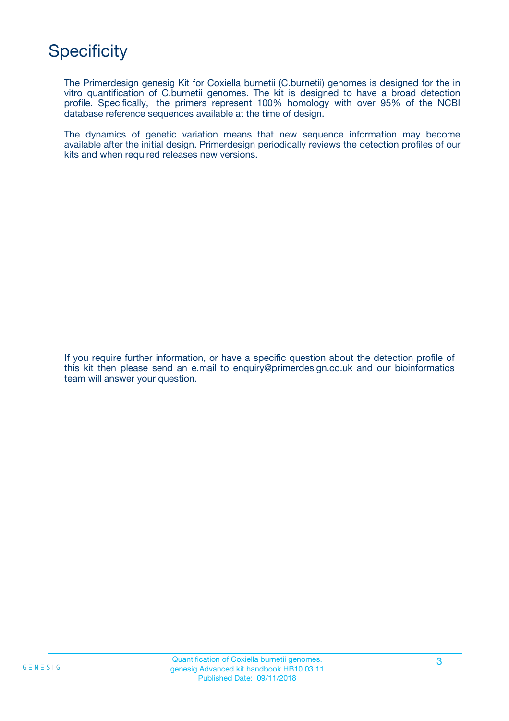# **Specificity**

The Primerdesign genesig Kit for Coxiella burnetii (C.burnetii) genomes is designed for the in vitro quantification of C.burnetii genomes. The kit is designed to have a broad detection profile. Specifically, the primers represent 100% homology with over 95% of the NCBI database reference sequences available at the time of design.

The dynamics of genetic variation means that new sequence information may become available after the initial design. Primerdesign periodically reviews the detection profiles of our kits and when required releases new versions.

If you require further information, or have a specific question about the detection profile of this kit then please send an e.mail to enquiry@primerdesign.co.uk and our bioinformatics team will answer your question.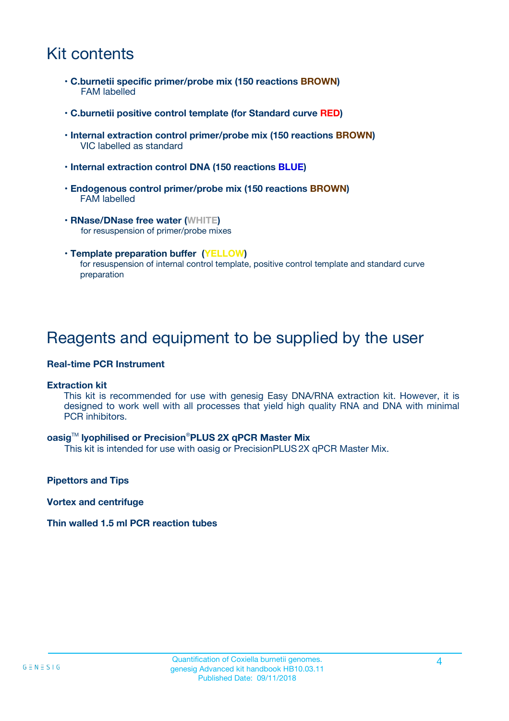# Kit contents

- **C.burnetii specific primer/probe mix (150 reactions BROWN)** FAM labelled
- **C.burnetii positive control template (for Standard curve RED)**
- **Internal extraction control primer/probe mix (150 reactions BROWN)** VIC labelled as standard
- **Internal extraction control DNA (150 reactions BLUE)**
- **Endogenous control primer/probe mix (150 reactions BROWN)** FAM labelled
- **RNase/DNase free water (WHITE)** for resuspension of primer/probe mixes
- **Template preparation buffer (YELLOW)** for resuspension of internal control template, positive control template and standard curve preparation

## Reagents and equipment to be supplied by the user

#### **Real-time PCR Instrument**

#### **Extraction kit**

This kit is recommended for use with genesig Easy DNA/RNA extraction kit. However, it is designed to work well with all processes that yield high quality RNA and DNA with minimal PCR inhibitors.

#### **oasig**TM **lyophilised or Precision**®**PLUS 2X qPCR Master Mix**

This kit is intended for use with oasig or PrecisionPLUS2X qPCR Master Mix.

**Pipettors and Tips**

**Vortex and centrifuge**

#### **Thin walled 1.5 ml PCR reaction tubes**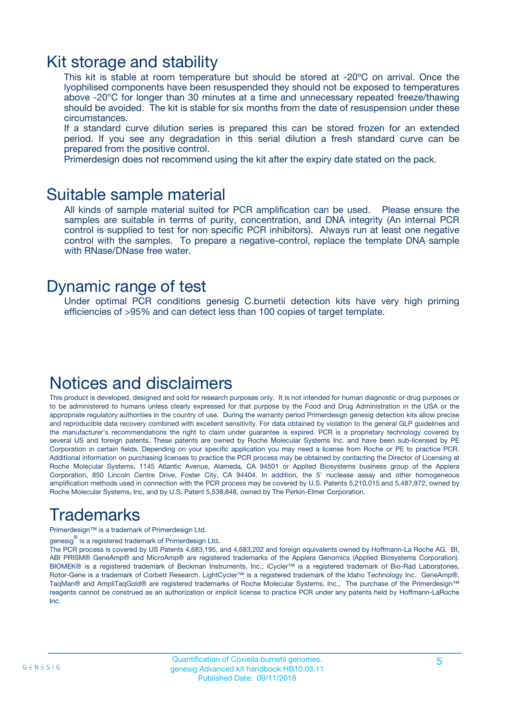### Kit storage and stability

This kit is stable at room temperature but should be stored at -20ºC on arrival. Once the lyophilised components have been resuspended they should not be exposed to temperatures above -20°C for longer than 30 minutes at a time and unnecessary repeated freeze/thawing should be avoided. The kit is stable for six months from the date of resuspension under these circumstances.

If a standard curve dilution series is prepared this can be stored frozen for an extended period. If you see any degradation in this serial dilution a fresh standard curve can be prepared from the positive control.

Primerdesign does not recommend using the kit after the expiry date stated on the pack.

### Suitable sample material

All kinds of sample material suited for PCR amplification can be used. Please ensure the samples are suitable in terms of purity, concentration, and DNA integrity (An internal PCR control is supplied to test for non specific PCR inhibitors). Always run at least one negative control with the samples. To prepare a negative-control, replace the template DNA sample with RNase/DNase free water.

### Dynamic range of test

Under optimal PCR conditions genesig C.burnetii detection kits have very high priming efficiencies of >95% and can detect less than 100 copies of target template.

### Notices and disclaimers

This product is developed, designed and sold for research purposes only. It is not intended for human diagnostic or drug purposes or to be administered to humans unless clearly expressed for that purpose by the Food and Drug Administration in the USA or the appropriate regulatory authorities in the country of use. During the warranty period Primerdesign genesig detection kits allow precise and reproducible data recovery combined with excellent sensitivity. For data obtained by violation to the general GLP guidelines and the manufacturer's recommendations the right to claim under guarantee is expired. PCR is a proprietary technology covered by several US and foreign patents. These patents are owned by Roche Molecular Systems Inc. and have been sub-licensed by PE Corporation in certain fields. Depending on your specific application you may need a license from Roche or PE to practice PCR. Additional information on purchasing licenses to practice the PCR process may be obtained by contacting the Director of Licensing at Roche Molecular Systems, 1145 Atlantic Avenue, Alameda, CA 94501 or Applied Biosystems business group of the Applera Corporation, 850 Lincoln Centre Drive, Foster City, CA 94404. In addition, the 5' nuclease assay and other homogeneous amplification methods used in connection with the PCR process may be covered by U.S. Patents 5,210,015 and 5,487,972, owned by Roche Molecular Systems, Inc, and by U.S. Patent 5,538,848, owned by The Perkin-Elmer Corporation.

# Trademarks

Primerdesign™ is a trademark of Primerdesign Ltd.

genesig $^\circledR$  is a registered trademark of Primerdesign Ltd.

The PCR process is covered by US Patents 4,683,195, and 4,683,202 and foreign equivalents owned by Hoffmann-La Roche AG. BI, ABI PRISM® GeneAmp® and MicroAmp® are registered trademarks of the Applera Genomics (Applied Biosystems Corporation). BIOMEK® is a registered trademark of Beckman Instruments, Inc.; iCycler™ is a registered trademark of Bio-Rad Laboratories, Rotor-Gene is a trademark of Corbett Research. LightCycler™ is a registered trademark of the Idaho Technology Inc. GeneAmp®, TaqMan® and AmpliTaqGold® are registered trademarks of Roche Molecular Systems, Inc., The purchase of the Primerdesign™ reagents cannot be construed as an authorization or implicit license to practice PCR under any patents held by Hoffmann-LaRoche Inc.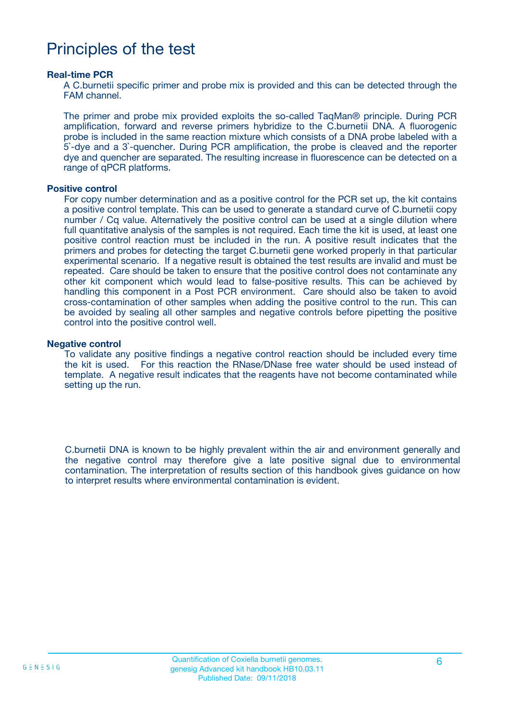## Principles of the test

#### **Real-time PCR**

A C.burnetii specific primer and probe mix is provided and this can be detected through the FAM channel.

The primer and probe mix provided exploits the so-called TaqMan® principle. During PCR amplification, forward and reverse primers hybridize to the C.burnetii DNA. A fluorogenic probe is included in the same reaction mixture which consists of a DNA probe labeled with a 5`-dye and a 3`-quencher. During PCR amplification, the probe is cleaved and the reporter dye and quencher are separated. The resulting increase in fluorescence can be detected on a range of qPCR platforms.

#### **Positive control**

For copy number determination and as a positive control for the PCR set up, the kit contains a positive control template. This can be used to generate a standard curve of C.burnetii copy number / Cq value. Alternatively the positive control can be used at a single dilution where full quantitative analysis of the samples is not required. Each time the kit is used, at least one positive control reaction must be included in the run. A positive result indicates that the primers and probes for detecting the target C.burnetii gene worked properly in that particular experimental scenario. If a negative result is obtained the test results are invalid and must be repeated. Care should be taken to ensure that the positive control does not contaminate any other kit component which would lead to false-positive results. This can be achieved by handling this component in a Post PCR environment. Care should also be taken to avoid cross-contamination of other samples when adding the positive control to the run. This can be avoided by sealing all other samples and negative controls before pipetting the positive control into the positive control well.

#### **Negative control**

To validate any positive findings a negative control reaction should be included every time the kit is used. For this reaction the RNase/DNase free water should be used instead of template. A negative result indicates that the reagents have not become contaminated while setting up the run.

C.burnetii DNA is known to be highly prevalent within the air and environment generally and the negative control may therefore give a late positive signal due to environmental contamination. The interpretation of results section of this handbook gives guidance on how to interpret results where environmental contamination is evident.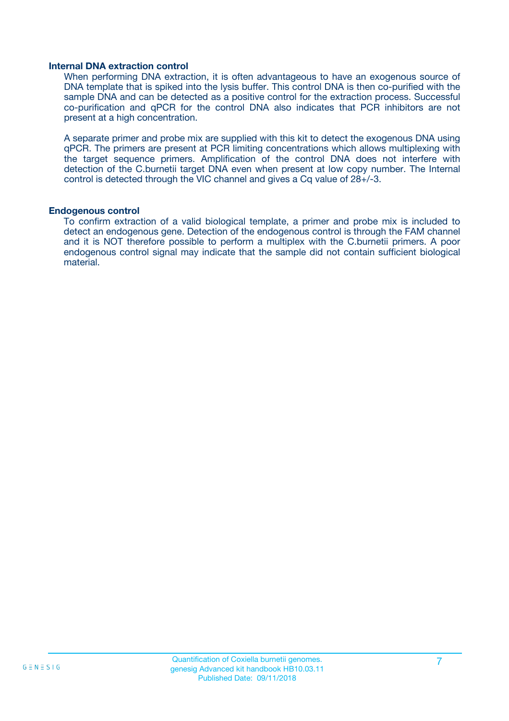#### **Internal DNA extraction control**

When performing DNA extraction, it is often advantageous to have an exogenous source of DNA template that is spiked into the lysis buffer. This control DNA is then co-purified with the sample DNA and can be detected as a positive control for the extraction process. Successful co-purification and qPCR for the control DNA also indicates that PCR inhibitors are not present at a high concentration.

A separate primer and probe mix are supplied with this kit to detect the exogenous DNA using qPCR. The primers are present at PCR limiting concentrations which allows multiplexing with the target sequence primers. Amplification of the control DNA does not interfere with detection of the C.burnetii target DNA even when present at low copy number. The Internal control is detected through the VIC channel and gives a Cq value of 28+/-3.

#### **Endogenous control**

To confirm extraction of a valid biological template, a primer and probe mix is included to detect an endogenous gene. Detection of the endogenous control is through the FAM channel and it is NOT therefore possible to perform a multiplex with the C.burnetii primers. A poor endogenous control signal may indicate that the sample did not contain sufficient biological material.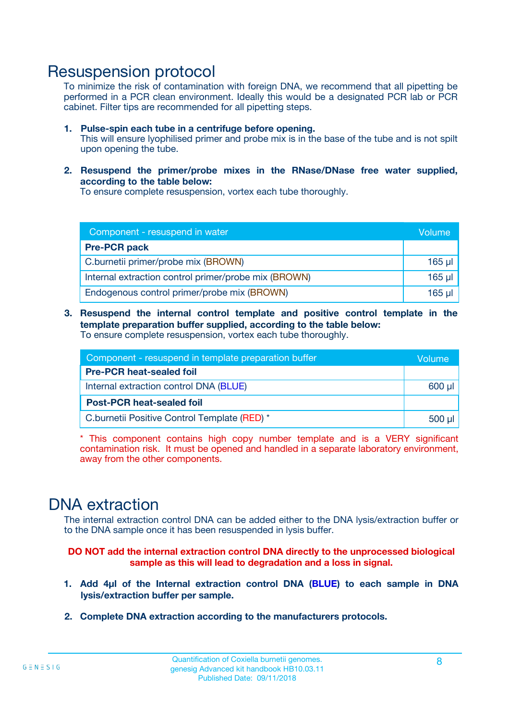### Resuspension protocol

To minimize the risk of contamination with foreign DNA, we recommend that all pipetting be performed in a PCR clean environment. Ideally this would be a designated PCR lab or PCR cabinet. Filter tips are recommended for all pipetting steps.

- **1. Pulse-spin each tube in a centrifuge before opening.** This will ensure lyophilised primer and probe mix is in the base of the tube and is not spilt upon opening the tube.
- **2. Resuspend the primer/probe mixes in the RNase/DNase free water supplied, according to the table below:**

To ensure complete resuspension, vortex each tube thoroughly.

| Component - resuspend in water                       |          |  |
|------------------------------------------------------|----------|--|
| <b>Pre-PCR pack</b>                                  |          |  |
| C.burnetii primer/probe mix (BROWN)                  | $165$ µ  |  |
| Internal extraction control primer/probe mix (BROWN) | $165$ µl |  |
| Endogenous control primer/probe mix (BROWN)          | 165 µl   |  |

**3. Resuspend the internal control template and positive control template in the template preparation buffer supplied, according to the table below:** To ensure complete resuspension, vortex each tube thoroughly.

| Component - resuspend in template preparation buffer |  |  |  |
|------------------------------------------------------|--|--|--|
| <b>Pre-PCR heat-sealed foil</b>                      |  |  |  |
| Internal extraction control DNA (BLUE)               |  |  |  |
| <b>Post-PCR heat-sealed foil</b>                     |  |  |  |
| C.burnetii Positive Control Template (RED) *         |  |  |  |

\* This component contains high copy number template and is a VERY significant contamination risk. It must be opened and handled in a separate laboratory environment, away from the other components.

### DNA extraction

The internal extraction control DNA can be added either to the DNA lysis/extraction buffer or to the DNA sample once it has been resuspended in lysis buffer.

**DO NOT add the internal extraction control DNA directly to the unprocessed biological sample as this will lead to degradation and a loss in signal.**

- **1. Add 4µl of the Internal extraction control DNA (BLUE) to each sample in DNA lysis/extraction buffer per sample.**
- **2. Complete DNA extraction according to the manufacturers protocols.**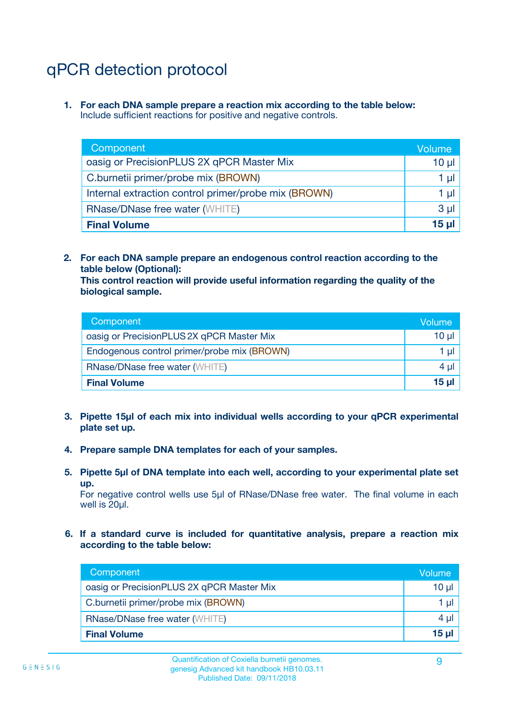# qPCR detection protocol

**1. For each DNA sample prepare a reaction mix according to the table below:** Include sufficient reactions for positive and negative controls.

| Component                                            | Volume   |  |
|------------------------------------------------------|----------|--|
| oasig or PrecisionPLUS 2X qPCR Master Mix            | 10 $\mu$ |  |
| C.burnetii primer/probe mix (BROWN)                  | 1 µI I   |  |
| Internal extraction control primer/probe mix (BROWN) | 1 µl     |  |
| <b>RNase/DNase free water (WHITE)</b>                | $3 \mu$  |  |
| <b>Final Volume</b>                                  |          |  |

**2. For each DNA sample prepare an endogenous control reaction according to the table below (Optional):**

**This control reaction will provide useful information regarding the quality of the biological sample.**

| Component                                   | Volume   |
|---------------------------------------------|----------|
| oasig or PrecisionPLUS 2X qPCR Master Mix   | $10 \mu$ |
| Endogenous control primer/probe mix (BROWN) | 1 µI     |
| <b>RNase/DNase free water (WHITE)</b>       | $4 \mu$  |
| <b>Final Volume</b>                         | 15 µl    |

- **3. Pipette 15µl of each mix into individual wells according to your qPCR experimental plate set up.**
- **4. Prepare sample DNA templates for each of your samples.**
- **5. Pipette 5µl of DNA template into each well, according to your experimental plate set up.**

For negative control wells use 5µl of RNase/DNase free water. The final volume in each well is 20ul.

**6. If a standard curve is included for quantitative analysis, prepare a reaction mix according to the table below:**

| Component                                 | Volume  |  |
|-------------------------------------------|---------|--|
| oasig or PrecisionPLUS 2X qPCR Master Mix | 10 µl   |  |
| C.burnetii primer/probe mix (BROWN)       |         |  |
| <b>RNase/DNase free water (WHITE)</b>     | $4 \mu$ |  |
| <b>Final Volume</b>                       | 15 µl   |  |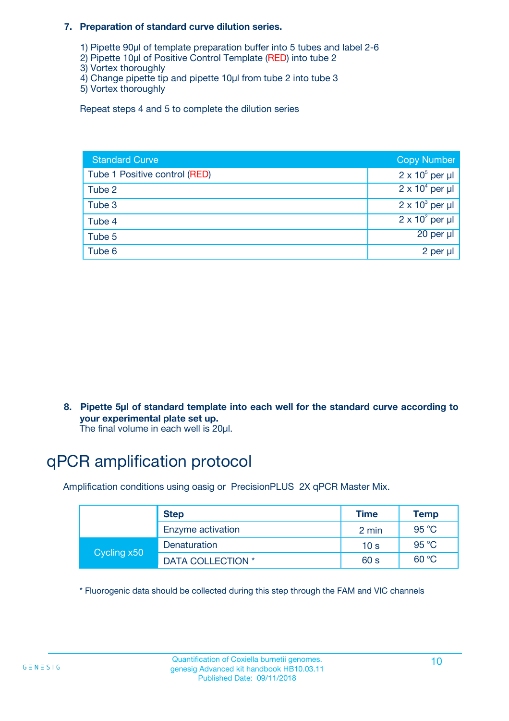#### **7. Preparation of standard curve dilution series.**

- 1) Pipette 90µl of template preparation buffer into 5 tubes and label 2-6
- 2) Pipette 10µl of Positive Control Template (RED) into tube 2
- 3) Vortex thoroughly
- 4) Change pipette tip and pipette 10µl from tube 2 into tube 3
- 5) Vortex thoroughly

Repeat steps 4 and 5 to complete the dilution series

| <b>Standard Curve</b>         | <b>Copy Number</b>     |
|-------------------------------|------------------------|
| Tube 1 Positive control (RED) | $2 \times 10^5$ per µl |
| Tube 2                        | $2 \times 10^4$ per µl |
| Tube 3                        | $2 \times 10^3$ per µl |
| Tube 4                        | $2 \times 10^2$ per µl |
| Tube 5                        | 20 per µl              |
| Tube 6                        | 2 per µl               |

**8. Pipette 5µl of standard template into each well for the standard curve according to your experimental plate set up.**

#### The final volume in each well is 20µl.

# qPCR amplification protocol

Amplification conditions using oasig or PrecisionPLUS 2X qPCR Master Mix.

|             | <b>Step</b>       | <b>Time</b>     | Temp    |
|-------------|-------------------|-----------------|---------|
|             | Enzyme activation | 2 min           | 95 °C   |
| Cycling x50 | Denaturation      | 10 <sub>s</sub> | 95 $°C$ |
|             | DATA COLLECTION * | 60 s            | 60 °C   |

\* Fluorogenic data should be collected during this step through the FAM and VIC channels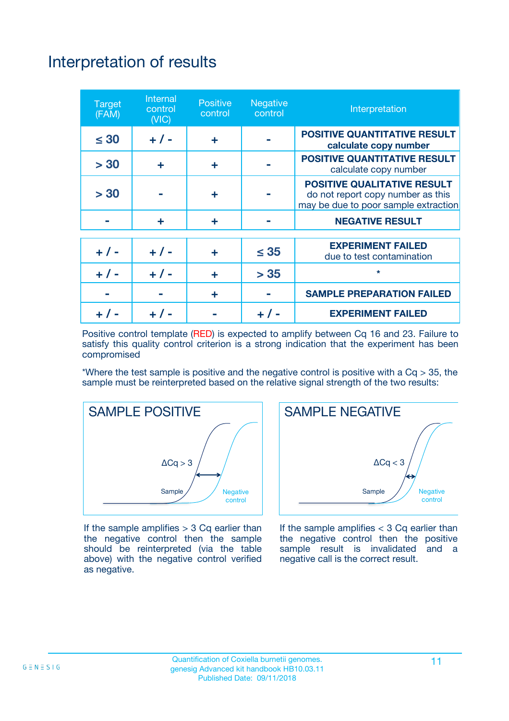# Interpretation of results

| <b>Target</b><br>(FAM) | Internal<br>control<br>(NIC) | <b>Positive</b><br>control | <b>Negative</b><br>control | Interpretation                                                                                                  |
|------------------------|------------------------------|----------------------------|----------------------------|-----------------------------------------------------------------------------------------------------------------|
| $\leq 30$              | $+ 1 -$                      | ÷                          |                            | <b>POSITIVE QUANTITATIVE RESULT</b><br>calculate copy number                                                    |
| > 30                   | ÷                            | ÷                          |                            | <b>POSITIVE QUANTITATIVE RESULT</b><br>calculate copy number                                                    |
| > 30                   |                              | ÷                          |                            | <b>POSITIVE QUALITATIVE RESULT</b><br>do not report copy number as this<br>may be due to poor sample extraction |
|                        | ÷                            | ÷                          |                            | <b>NEGATIVE RESULT</b>                                                                                          |
| $+ 1 -$                | $+ 1 -$                      | ÷                          | $\leq 35$                  | <b>EXPERIMENT FAILED</b><br>due to test contamination                                                           |
| $+ 1 -$                | $+ 1 -$                      | ÷                          | > 35                       | $\star$                                                                                                         |
|                        |                              | ÷                          |                            | <b>SAMPLE PREPARATION FAILED</b>                                                                                |
|                        |                              |                            |                            | <b>EXPERIMENT FAILED</b>                                                                                        |

Positive control template (RED) is expected to amplify between Cq 16 and 23. Failure to satisfy this quality control criterion is a strong indication that the experiment has been compromised

\*Where the test sample is positive and the negative control is positive with a  $Cq > 35$ , the sample must be reinterpreted based on the relative signal strength of the two results:



If the sample amplifies  $> 3$  Cq earlier than the negative control then the sample should be reinterpreted (via the table above) with the negative control verified as negative.



If the sample amplifies  $<$  3 Cq earlier than the negative control then the positive sample result is invalidated and a negative call is the correct result.